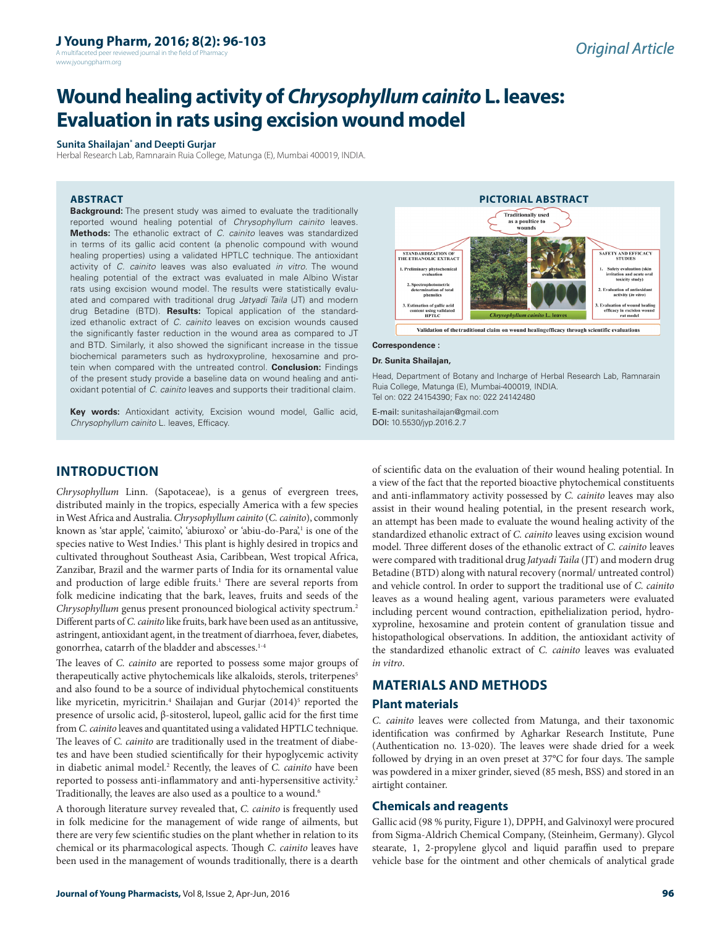A multifaceted peer reviewed journal in the field of Pharm www.jyoungpharm.org

# **Wound healing activity of** *Chrysophyllum cainito* **L. leaves: Evaluation in rats using excision wound model**

#### **Sunita Shailajan\* and Deepti Gurjar**

Herbal Research Lab, Ramnarain Ruia College, Matunga (E), Mumbai 400019, INDIA.

### **ABSTRACT**

**Background:** The present study was aimed to evaluate the traditionally reported wound healing potential of *Chrysophyllum cainito* leaves. **Methods:** The ethanolic extract of *C. cainito* leaves was standardized in terms of its gallic acid content (a phenolic compound with wound healing properties) using a validated HPTLC technique. The antioxidant activity of *C. cainito* leaves was also evaluated *in vitro*. The wound healing potential of the extract was evaluated in male Albino Wistar rats using excision wound model. The results were statistically evaluated and compared with traditional drug *Jatyadi Taila* (JT) and modern drug Betadine (BTD). **Results:** Topical application of the standardized ethanolic extract of *C. cainito* leaves on excision wounds caused the significantly faster reduction in the wound area as compared to JT and BTD. Similarly, it also showed the significant increase in the tissue biochemical parameters such as hydroxyproline, hexosamine and protein when compared with the untreated control. **Conclusion:** Findings of the present study provide a baseline data on wound healing and antioxidant potential of *C. cainito* leaves and supports their traditional claim.





# **Correspondence :**

**Dr. Sunita Shailajan,**

Head, Department of Botany and Incharge of Herbal Research Lab, Ramnarain Ruia College, Matunga (E), Mumbai-400019, INDIA. Tel on: 022 24154390; Fax no: 022 24142480

E-mail: sunitashailajan@gmail.com DOI: 10.5530/jyp.2016.2.7

# **INTRODUCTION**

*Chrysophyllum* Linn. (Sapotaceae), is a genus of evergreen trees, distributed mainly in the tropics, especially America with a few species in West Africa and Australia. *Chrysophyllum cainito* (*C. cainito*), commonly known as 'star apple', 'caimito', 'abiuroxo' or 'abiu-do-Para',<sup>1</sup> is one of the species native to West Indies.<sup>1</sup> This plant is highly desired in tropics and cultivated throughout Southeast Asia, Caribbean, West tropical Africa, Zanzibar, Brazil and the warmer parts of India for its ornamental value and production of large edible fruits.<sup>1</sup> There are several reports from folk medicine indicating that the bark, leaves, fruits and seeds of the *Chrysophyllum* genus present pronounced biological activity spectrum.2 Different parts of *C. cainito* like fruits, bark have been used as an antitussive, astringent, antioxidant agent, in the treatment of diarrhoea, fever, diabetes, gonorrhea, catarrh of the bladder and abscesses.1-4

The leaves of *C. cainito* are reported to possess some major groups of therapeutically active phytochemicals like alkaloids, sterols, triterpenes<sup>5</sup> and also found to be a source of individual phytochemical constituents like myricetin, myricitrin.<sup>4</sup> Shailajan and Gurjar (2014)<sup>5</sup> reported the presence of ursolic acid, β-sitosterol, lupeol, gallic acid for the first time from *C. cainito* leaves and quantitated using a validated HPTLC technique. The leaves of *C. cainito* are traditionally used in the treatment of diabetes and have been studied scientifically for their hypoglycemic activity in diabetic animal model.<sup>2</sup> Recently, the leaves of *C. cainito* have been reported to possess anti-inflammatory and anti-hypersensitive activity.<sup>2</sup> Traditionally, the leaves are also used as a poultice to a wound.<sup>6</sup>

A thorough literature survey revealed that, *C. cainito* is frequently used in folk medicine for the management of wide range of ailments, but there are very few scientific studies on the plant whether in relation to its chemical or its pharmacological aspects. Though *C. cainito* leaves have been used in the management of wounds traditionally, there is a dearth

of scientific data on the evaluation of their wound healing potential. In a view of the fact that the reported bioactive phytochemical constituents and anti-inflammatory activity possessed by *C. cainito* leaves may also assist in their wound healing potential, in the present research work, an attempt has been made to evaluate the wound healing activity of the standardized ethanolic extract of *C. cainito* leaves using excision wound model. Three different doses of the ethanolic extract of *C. cainito* leaves were compared with traditional drug *Jatyadi Taila* (JT) and modern drug Betadine (BTD) along with natural recovery (normal/ untreated control) and vehicle control. In order to support the traditional use of *C. cainito* leaves as a wound healing agent, various parameters were evaluated including percent wound contraction, epithelialization period, hydroxyproline, hexosamine and protein content of granulation tissue and histopathological observations. In addition, the antioxidant activity of the standardized ethanolic extract of *C. cainito* leaves was evaluated *in vitro*.

# **MATERIALS AND METHODS**

### **Plant materials**

*C. cainito* leaves were collected from Matunga, and their taxonomic identification was confirmed by Agharkar Research Institute, Pune (Authentication no. 13-020). The leaves were shade dried for a week followed by drying in an oven preset at 37°C for four days. The sample was powdered in a mixer grinder, sieved (85 mesh, BSS) and stored in an airtight container.

#### **Chemicals and reagents**

Gallic acid (98 % purity, Figure 1), DPPH, and Galvinoxyl were procured from Sigma-Aldrich Chemical Company, (Steinheim, Germany). Glycol stearate, 1, 2-propylene glycol and liquid paraffin used to prepare vehicle base for the ointment and other chemicals of analytical grade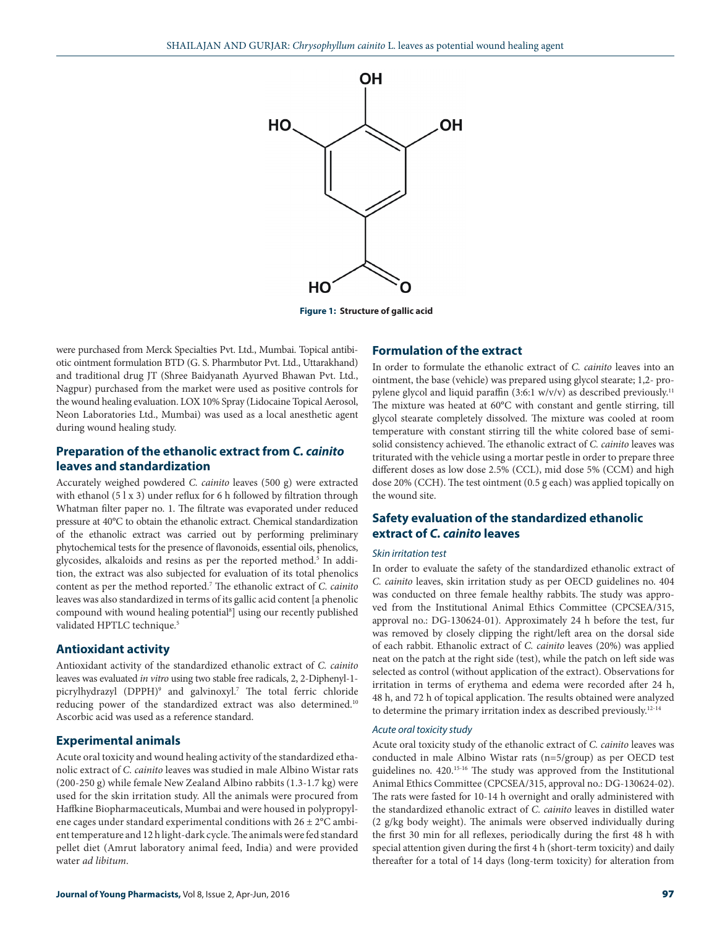

**Figure 1: Structure of gallic acid**

were purchased from Merck Specialties Pvt. Ltd., Mumbai. Topical antibiotic ointment formulation BTD (G. S. Pharmbutor Pvt. Ltd., Uttarakhand) and traditional drug JT (Shree Baidyanath Ayurved Bhawan Pvt. Ltd., Nagpur) purchased from the market were used as positive controls for the wound healing evaluation. LOX 10% Spray (Lidocaine Topical Aerosol, Neon Laboratories Ltd., Mumbai) was used as a local anesthetic agent during wound healing study.

## **Preparation of the ethanolic extract from** *C. cainito* **leaves and standardization**

Accurately weighed powdered *C. cainito* leaves (500 g) were extracted with ethanol (5 l x 3) under reflux for 6 h followed by filtration through Whatman filter paper no. 1. The filtrate was evaporated under reduced pressure at 40°C to obtain the ethanolic extract. Chemical standardization of the ethanolic extract was carried out by performing preliminary phytochemical tests for the presence of flavonoids, essential oils, phenolics, glycosides, alkaloids and resins as per the reported method.<sup>5</sup> In addition, the extract was also subjected for evaluation of its total phenolics content as per the method reported.7 The ethanolic extract of *C. cainito* leaves was also standardized in terms of its gallic acid content [a phenolic compound with wound healing potential<sup>8</sup>] using our recently published validated HPTLC technique.<sup>5</sup>

### **Antioxidant activity**

Antioxidant activity of the standardized ethanolic extract of *C. cainito* leaves was evaluated *in vitro* using two stable free radicals, 2, 2-Diphenyl-1 picrylhydrazyl (DPPH)9 and galvinoxyl.7 The total ferric chloride reducing power of the standardized extract was also determined.10 Ascorbic acid was used as a reference standard.

### **Experimental animals**

Acute oral toxicity and wound healing activity of the standardized ethanolic extract of *C. cainito* leaves was studied in male Albino Wistar rats (200-250 g) while female New Zealand Albino rabbits (1.3-1.7 kg) were used for the skin irritation study. All the animals were procured from Haffkine Biopharmaceuticals, Mumbai and were housed in polypropylene cages under standard experimental conditions with 26 ± 2°C ambient temperature and 12 h light-dark cycle. The animals were fed standard pellet diet (Amrut laboratory animal feed, India) and were provided water *ad libitum*.

### **Formulation of the extract**

In order to formulate the ethanolic extract of *C. cainito* leaves into an ointment, the base (vehicle) was prepared using glycol stearate; 1,2- propylene glycol and liquid paraffin (3:6:1 w/v/v) as described previously.<sup>11</sup> The mixture was heated at 60°C with constant and gentle stirring, till glycol stearate completely dissolved. The mixture was cooled at room temperature with constant stirring till the white colored base of semisolid consistency achieved. The ethanolic extract of *C. cainito* leaves was triturated with the vehicle using a mortar pestle in order to prepare three different doses as low dose 2.5% (CCL), mid dose 5% (CCM) and high dose 20% (CCH). The test ointment (0.5 g each) was applied topically on the wound site.

# **Safety evaluation of the standardized ethanolic extract of** *C. cainito* **leaves**

### *Skin irritation test*

In order to evaluate the safety of the standardized ethanolic extract of *C. cainito* leaves, skin irritation study as per OECD guidelines no. 404 was conducted on three female healthy rabbits. The study was approved from the Institutional Animal Ethics Committee (CPCSEA/315, approval no.: DG-130624-01). Approximately 24 h before the test, fur was removed by closely clipping the right/left area on the dorsal side of each rabbit. Ethanolic extract of *C. cainito* leaves (20%) was applied neat on the patch at the right side (test), while the patch on left side was selected as control (without application of the extract). Observations for irritation in terms of erythema and edema were recorded after 24 h, 48 h, and 72 h of topical application. The results obtained were analyzed to determine the primary irritation index as described previously.12-14

#### *Acute oral toxicity study*

Acute oral toxicity study of the ethanolic extract of *C. cainito* leaves was conducted in male Albino Wistar rats (n=5/group) as per OECD test guidelines no. 420.15-16 The study was approved from the Institutional Animal Ethics Committee (CPCSEA/315, approval no.: DG-130624-02). The rats were fasted for 10-14 h overnight and orally administered with the standardized ethanolic extract of *C. cainito* leaves in distilled water (2 g/kg body weight). The animals were observed individually during the first 30 min for all reflexes, periodically during the first 48 h with special attention given during the first 4 h (short-term toxicity) and daily thereafter for a total of 14 days (long-term toxicity) for alteration from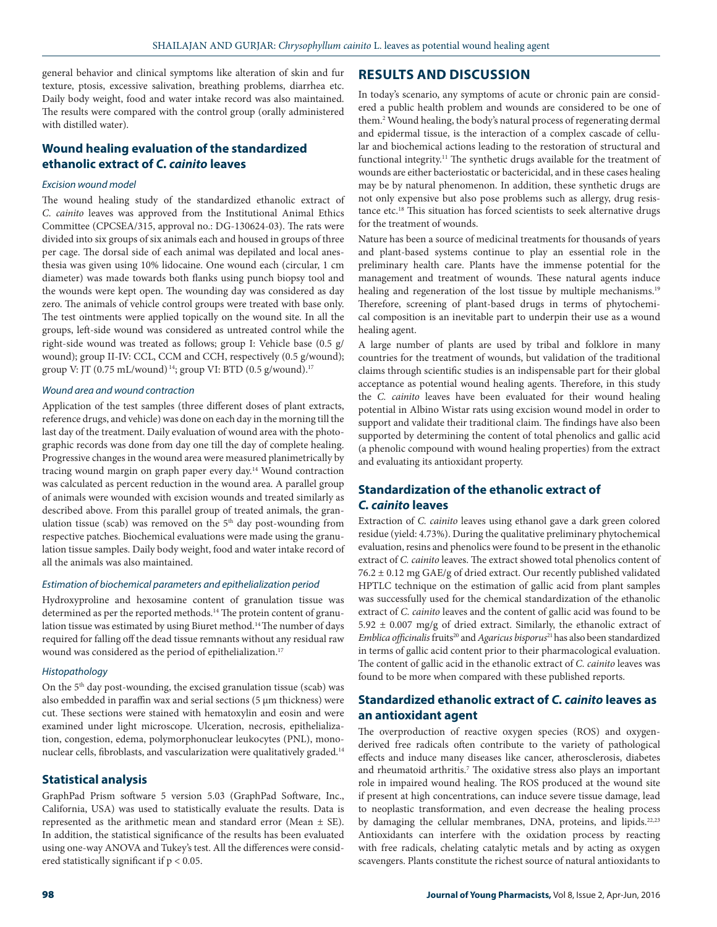general behavior and clinical symptoms like alteration of skin and fur texture, ptosis, excessive salivation, breathing problems, diarrhea etc. Daily body weight, food and water intake record was also maintained. The results were compared with the control group (orally administered with distilled water).

# **Wound healing evaluation of the standardized ethanolic extract of** *C. cainito* **leaves**

### *Excision wound model*

The wound healing study of the standardized ethanolic extract of *C. cainito* leaves was approved from the Institutional Animal Ethics Committee (CPCSEA/315, approval no.: DG-130624-03). The rats were divided into six groups of six animals each and housed in groups of three per cage. The dorsal side of each animal was depilated and local anesthesia was given using 10% lidocaine. One wound each (circular, 1 cm diameter) was made towards both flanks using punch biopsy tool and the wounds were kept open. The wounding day was considered as day zero. The animals of vehicle control groups were treated with base only. The test ointments were applied topically on the wound site. In all the groups, left-side wound was considered as untreated control while the right-side wound was treated as follows; group I: Vehicle base (0.5 g/ wound); group II-IV: CCL, CCM and CCH, respectively (0.5 g/wound); group V: JT (0.75 mL/wound)<sup>14</sup>; group VI: BTD (0.5 g/wound).<sup>17</sup>

#### *Wound area and wound contraction*

Application of the test samples (three different doses of plant extracts, reference drugs, and vehicle) was done on each day in the morning till the last day of the treatment. Daily evaluation of wound area with the photographic records was done from day one till the day of complete healing. Progressive changes in the wound area were measured planimetrically by tracing wound margin on graph paper every day.14 Wound contraction was calculated as percent reduction in the wound area. A parallel group of animals were wounded with excision wounds and treated similarly as described above. From this parallel group of treated animals, the granulation tissue (scab) was removed on the 5<sup>th</sup> day post-wounding from respective patches. Biochemical evaluations were made using the granulation tissue samples. Daily body weight, food and water intake record of all the animals was also maintained.

### *Estimation of biochemical parameters and epithelialization period*

Hydroxyproline and hexosamine content of granulation tissue was determined as per the reported methods.14 The protein content of granulation tissue was estimated by using Biuret method.14 The number of days required for falling off the dead tissue remnants without any residual raw wound was considered as the period of epithelialization.<sup>17</sup>

#### *Histopathology*

On the 5th day post-wounding, the excised granulation tissue (scab) was also embedded in paraffin wax and serial sections (5 µm thickness) were cut. These sections were stained with hematoxylin and eosin and were examined under light microscope. Ulceration, necrosis, epithelialization, congestion, edema, polymorphonuclear leukocytes (PNL), mononuclear cells, fibroblasts, and vascularization were qualitatively graded.<sup>14</sup>

### **Statistical analysis**

GraphPad Prism software 5 version 5.03 (GraphPad Software, Inc., California, USA) was used to statistically evaluate the results. Data is represented as the arithmetic mean and standard error (Mean ± SE). In addition, the statistical significance of the results has been evaluated using one-way ANOVA and Tukey's test. All the differences were considered statistically significant if p < 0.05.

### **RESULTS AND DISCUSSION**

In today's scenario, any symptoms of acute or chronic pain are considered a public health problem and wounds are considered to be one of them.2 Wound healing, the body's natural process of regenerating dermal and epidermal tissue, is the interaction of a complex cascade of cellular and biochemical actions leading to the restoration of structural and functional integrity.<sup>11</sup> The synthetic drugs available for the treatment of wounds are either bacteriostatic or bactericidal, and in these cases healing may be by natural phenomenon. In addition, these synthetic drugs are not only expensive but also pose problems such as allergy, drug resistance etc.18 This situation has forced scientists to seek alternative drugs for the treatment of wounds.

Nature has been a source of medicinal treatments for thousands of years and plant-based systems continue to play an essential role in the preliminary health care. Plants have the immense potential for the management and treatment of wounds. These natural agents induce healing and regeneration of the lost tissue by multiple mechanisms.<sup>19</sup> Therefore, screening of plant-based drugs in terms of phytochemical composition is an inevitable part to underpin their use as a wound healing agent.

A large number of plants are used by tribal and folklore in many countries for the treatment of wounds, but validation of the traditional claims through scientific studies is an indispensable part for their global acceptance as potential wound healing agents. Therefore, in this study the *C. cainito* leaves have been evaluated for their wound healing potential in Albino Wistar rats using excision wound model in order to support and validate their traditional claim. The findings have also been supported by determining the content of total phenolics and gallic acid (a phenolic compound with wound healing properties) from the extract and evaluating its antioxidant property.

# **Standardization of the ethanolic extract of**  *C. cainito* **leaves**

Extraction of *C. cainito* leaves using ethanol gave a dark green colored residue (yield: 4.73%). During the qualitative preliminary phytochemical evaluation, resins and phenolics were found to be present in the ethanolic extract of *C. cainito* leaves. The extract showed total phenolics content of 76.2 ± 0.12 mg GAE/g of dried extract. Our recently published validated HPTLC technique on the estimation of gallic acid from plant samples was successfully used for the chemical standardization of the ethanolic extract of *C. cainito* leaves and the content of gallic acid was found to be  $5.92 \pm 0.007$  mg/g of dried extract. Similarly, the ethanolic extract of *Emblica officinalis* fruits<sup>20</sup> and *Agaricus bisporus*<sup>21</sup> has also been standardized in terms of gallic acid content prior to their pharmacological evaluation. The content of gallic acid in the ethanolic extract of *C. cainito* leaves was found to be more when compared with these published reports.

# **Standardized ethanolic extract of** *C. cainito* **leaves as an antioxidant agent**

The overproduction of reactive oxygen species (ROS) and oxygenderived free radicals often contribute to the variety of pathological effects and induce many diseases like cancer, atherosclerosis, diabetes and rheumatoid arthritis.<sup>7</sup> The oxidative stress also plays an important role in impaired wound healing. The ROS produced at the wound site if present at high concentrations, can induce severe tissue damage, lead to neoplastic transformation, and even decrease the healing process by damaging the cellular membranes, DNA, proteins, and lipids.<sup>22,23</sup> Antioxidants can interfere with the oxidation process by reacting with free radicals, chelating catalytic metals and by acting as oxygen scavengers. Plants constitute the richest source of natural antioxidants to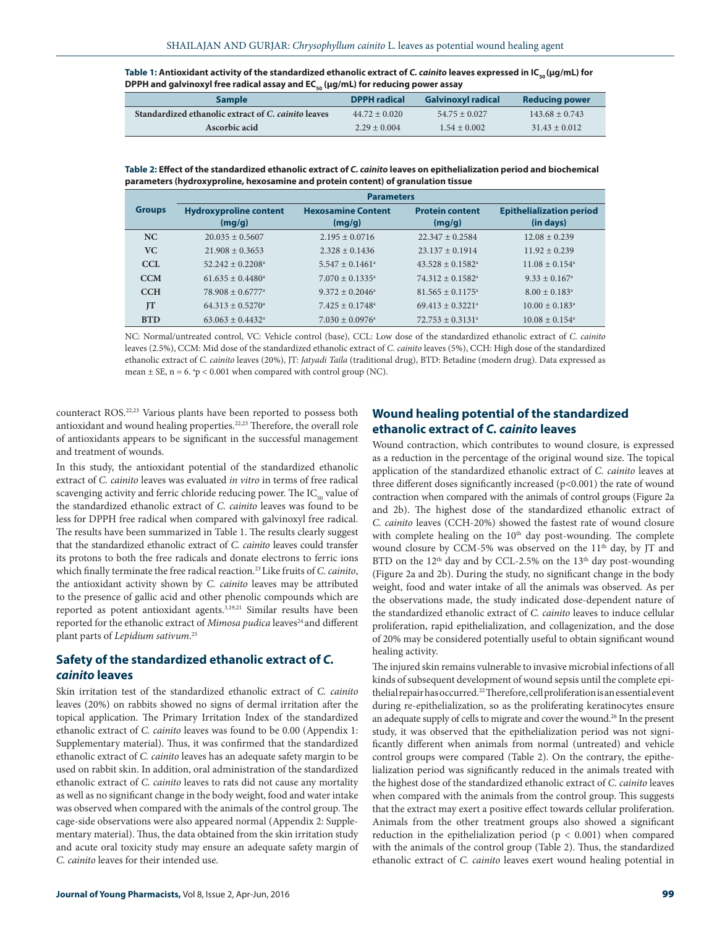| Table 1: Antioxidant activity of the standardized ethanolic extract of C. cainito leaves expressed in $IC_{\text{cs}}( \mu g/mL)$ for |
|---------------------------------------------------------------------------------------------------------------------------------------|
| DPPH and galvinoxyl free radical assay and $EC_{\alpha}$ ( $\mu$ g/mL) for reducing power assay                                       |

| <b>Sample</b>                                       | <b>DPPH</b> radical | <b>Galvinoxyl radical</b> | Reducing power    |
|-----------------------------------------------------|---------------------|---------------------------|-------------------|
| Standardized ethanolic extract of C. cainito leaves | $44.72 \pm 0.020$   | $54.75 \pm 0.027$         | $143.68 + 0.743$  |
| Ascorbic acid                                       | $2.29 \pm 0.004$    | $1.54 + 0.002$            | $31.43 \pm 0.012$ |

**Table 2: Effect of the standardized ethanolic extract of** *C. cainito* **leaves on epithelialization period and biochemical parameters (hydroxyproline, hexosamine and protein content) of granulation tissue**

|               |                                | <b>Parameters</b>               |                                |                                 |
|---------------|--------------------------------|---------------------------------|--------------------------------|---------------------------------|
| <b>Groups</b> | <b>Hydroxyproline content</b>  | <b>Hexosamine Content</b>       | <b>Protein content</b>         | <b>Epithelialization period</b> |
|               | (mg/g)                         | (mg/g)                          | (mg/g)                         | (in days)                       |
| <b>NC</b>     | $20.035 + 0.5607$              | $2.195 \pm 0.0716$              | $22.347 + 0.2584$              | $12.08 + 0.239$                 |
| VC.           | $21.908 + 0.3653$              | $2.328 \pm 0.1436$              | $23.137 + 0.1914$              | $11.92 \pm 0.239$               |
| CCL           | $52.242 + 0.2208$ <sup>a</sup> | $5.547 \pm 0.1461$ <sup>a</sup> | $43.528 + 0.1582$ <sup>a</sup> | $11.08 \pm 0.154$ <sup>a</sup>  |
| <b>CCM</b>    | $61.635 + 0.4480$ <sup>a</sup> | $7.070 \pm 0.1335^{\circ}$      | $74.312 + 0.1582$ <sup>a</sup> | $9.33 \pm 0.167$ <sup>a</sup>   |
| <b>CCH</b>    | $78.908 + 0.6777^{\circ}$      | $9.372 + 0.2046^a$              | $81.565 + 0.1175$ <sup>a</sup> | $8.00 \pm 0.183$ <sup>a</sup>   |
| <b>IT</b>     | $64.313 + 0.5270$ <sup>a</sup> | $7.425 \pm 0.1748$ <sup>a</sup> | $69.413 + 0.3221$ <sup>a</sup> | $10.00 \pm 0.183$ <sup>a</sup>  |
| <b>BTD</b>    | $63.063 + 0.4432^{\circ}$      | $7.030 \pm 0.0976$ <sup>a</sup> | $72.753 + 0.3131$ <sup>a</sup> | $10.08 \pm 0.154$ <sup>a</sup>  |

NC: Normal/untreated control, VC: Vehicle control (base), CCL: Low dose of the standardized ethanolic extract of *C. cainito*  leaves (2.5%), CCM: Mid dose of the standardized ethanolic extract of *C. cainito* leaves (5%), CCH: High dose of the standardized ethanolic extract of *C. cainito* leaves (20%), JT: *Jatyadi Taila* (traditional drug), BTD: Betadine (modern drug). Data expressed as mean  $\pm$  SE, n = 6.  $\degree$ p < 0.001 when compared with control group (NC).

counteract ROS.22,23 Various plants have been reported to possess both antioxidant and wound healing properties.22,23 Therefore, the overall role of antioxidants appears to be significant in the successful management and treatment of wounds.

In this study, the antioxidant potential of the standardized ethanolic extract of *C. cainito* leaves was evaluated *in vitro* in terms of free radical scavenging activity and ferric chloride reducing power. The  $IC_{50}$  value of the standardized ethanolic extract of *C. cainito* leaves was found to be less for DPPH free radical when compared with galvinoxyl free radical. The results have been summarized in Table 1. The results clearly suggest that the standardized ethanolic extract of *C. cainito* leaves could transfer its protons to both the free radicals and donate electrons to ferric ions which finally terminate the free radical reaction.23 Like fruits of *C. cainito*, the antioxidant activity shown by *C. cainito* leaves may be attributed to the presence of gallic acid and other phenolic compounds which are reported as potent antioxidant agents.<sup>3,19,21</sup> Similar results have been reported for the ethanolic extract of *Mimosa pudica* leaves<sup>24</sup> and different plant parts of *Lepidium sativum*. 25

## **Safety of the standardized ethanolic extract of** *C. cainito* **leaves**

Skin irritation test of the standardized ethanolic extract of *C. cainito* leaves (20%) on rabbits showed no signs of dermal irritation after the topical application. The Primary Irritation Index of the standardized ethanolic extract of *C. cainito* leaves was found to be 0.00 (Appendix 1: Supplementary material). Thus, it was confirmed that the standardized ethanolic extract of *C. cainito* leaves has an adequate safety margin to be used on rabbit skin. In addition, oral administration of the standardized ethanolic extract of *C. cainito* leaves to rats did not cause any mortality as well as no significant change in the body weight, food and water intake was observed when compared with the animals of the control group. The cage-side observations were also appeared normal (Appendix 2: Supplementary material). Thus, the data obtained from the skin irritation study and acute oral toxicity study may ensure an adequate safety margin of *C. cainito* leaves for their intended use.

# **Wound healing potential of the standardized ethanolic extract of** *C. cainito* **leaves**

Wound contraction, which contributes to wound closure, is expressed as a reduction in the percentage of the original wound size. The topical application of the standardized ethanolic extract of *C. cainito* leaves at three different doses significantly increased (p<0.001) the rate of wound contraction when compared with the animals of control groups (Figure 2a and 2b). The highest dose of the standardized ethanolic extract of *C. cainito* leaves (CCH-20%) showed the fastest rate of wound closure with complete healing on the  $10<sup>th</sup>$  day post-wounding. The complete wound closure by CCM-5% was observed on the 11<sup>th</sup> day, by JT and BTD on the 12<sup>th</sup> day and by CCL-2.5% on the 13<sup>th</sup> day post-wounding (Figure 2a and 2b). During the study, no significant change in the body weight, food and water intake of all the animals was observed. As per the observations made, the study indicated dose-dependent nature of the standardized ethanolic extract of *C. cainito* leaves to induce cellular proliferation, rapid epithelialization, and collagenization, and the dose of 20% may be considered potentially useful to obtain significant wound healing activity.

The injured skin remains vulnerable to invasive microbial infections of all kinds of subsequent development of wound sepsis until the complete epithelial repair has occurred.<sup>22</sup> Therefore, cell proliferation is an essential event during re-epithelialization, so as the proliferating keratinocytes ensure an adequate supply of cells to migrate and cover the wound.<sup>26</sup> In the present study, it was observed that the epithelialization period was not significantly different when animals from normal (untreated) and vehicle control groups were compared (Table 2). On the contrary, the epithelialization period was significantly reduced in the animals treated with the highest dose of the standardized ethanolic extract of *C. cainito* leaves when compared with the animals from the control group. This suggests that the extract may exert a positive effect towards cellular proliferation. Animals from the other treatment groups also showed a significant reduction in the epithelialization period ( $p < 0.001$ ) when compared with the animals of the control group (Table 2). Thus, the standardized ethanolic extract of *C. cainito* leaves exert wound healing potential in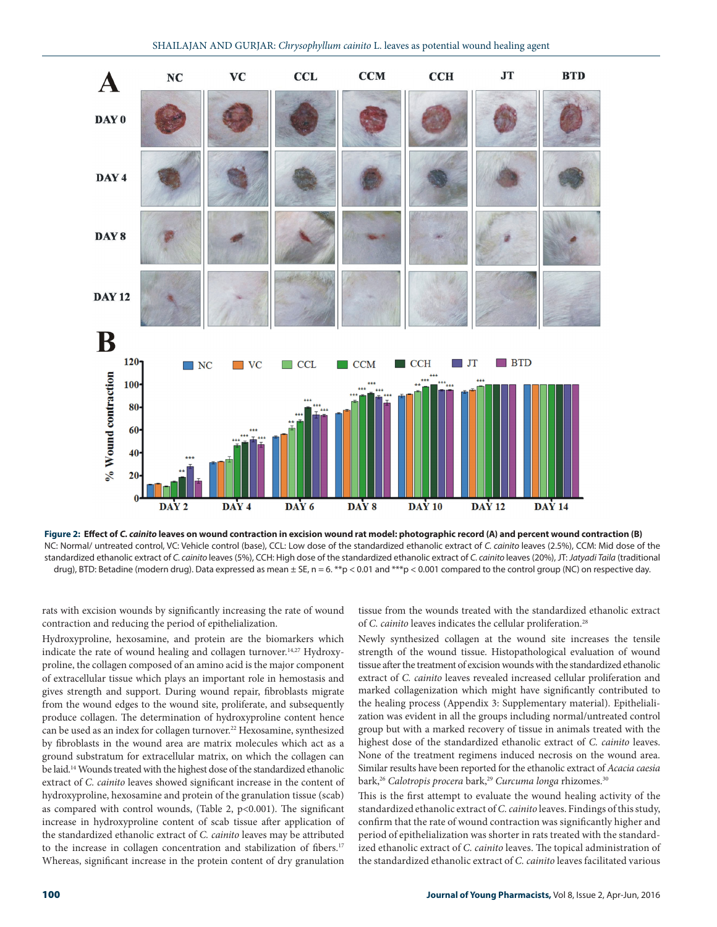

**Figure 2: Effect of** *C. cainito* **leaves on wound contraction in excision wound rat model: photographic record (A) and percent wound contraction (B)** NC: Normal/ untreated control, VC: Vehicle control (base), CCL: Low dose of the standardized ethanolic extract of *C. cainito* leaves (2.5%), CCM: Mid dose of the standardized ethanolic extract of *C. cainito* leaves (5%), CCH: High dose of the standardized ethanolic extract of *C. cainito* leaves (20%), JT: *Jatyadi Taila* (traditional drug), BTD: Betadine (modern drug). Data expressed as mean  $\pm$  SE, n = 6. \*\*p < 0.01 and \*\*\*p < 0.001 compared to the control group (NC) on respective day.

rats with excision wounds by significantly increasing the rate of wound contraction and reducing the period of epithelialization.

Hydroxyproline, hexosamine, and protein are the biomarkers which indicate the rate of wound healing and collagen turnover.14,27 Hydroxyproline, the collagen composed of an amino acid is the major component of extracellular tissue which plays an important role in hemostasis and gives strength and support. During wound repair, fibroblasts migrate from the wound edges to the wound site, proliferate, and subsequently produce collagen. The determination of hydroxyproline content hence can be used as an index for collagen turnover.<sup>22</sup> Hexosamine, synthesized by fibroblasts in the wound area are matrix molecules which act as a ground substratum for extracellular matrix, on which the collagen can be laid.14 Wounds treated with the highest dose of the standardized ethanolic extract of *C. cainito* leaves showed significant increase in the content of hydroxyproline, hexosamine and protein of the granulation tissue (scab) as compared with control wounds, (Table 2,  $p<0.001$ ). The significant increase in hydroxyproline content of scab tissue after application of the standardized ethanolic extract of *C. cainito* leaves may be attributed to the increase in collagen concentration and stabilization of fibers.<sup>17</sup> Whereas, significant increase in the protein content of dry granulation

tissue from the wounds treated with the standardized ethanolic extract of *C. cainito* leaves indicates the cellular proliferation.<sup>28</sup>

Newly synthesized collagen at the wound site increases the tensile strength of the wound tissue. Histopathological evaluation of wound tissue after the treatment of excision wounds with the standardized ethanolic extract of *C. cainito* leaves revealed increased cellular proliferation and marked collagenization which might have significantly contributed to the healing process (Appendix 3: Supplementary material). Epithelialization was evident in all the groups including normal/untreated control group but with a marked recovery of tissue in animals treated with the highest dose of the standardized ethanolic extract of *C. cainito* leaves. None of the treatment regimens induced necrosis on the wound area. Similar results have been reported for the ethanolic extract of *Acacia caesia* bark,<sup>26</sup> Calotropis procera bark,<sup>29</sup> Curcuma longa rhizomes.<sup>30</sup>

This is the first attempt to evaluate the wound healing activity of the standardized ethanolic extract of *C. cainito* leaves. Findings of this study, confirm that the rate of wound contraction was significantly higher and period of epithelialization was shorter in rats treated with the standardized ethanolic extract of *C. cainito* leaves. The topical administration of the standardized ethanolic extract of *C. cainito* leaves facilitated various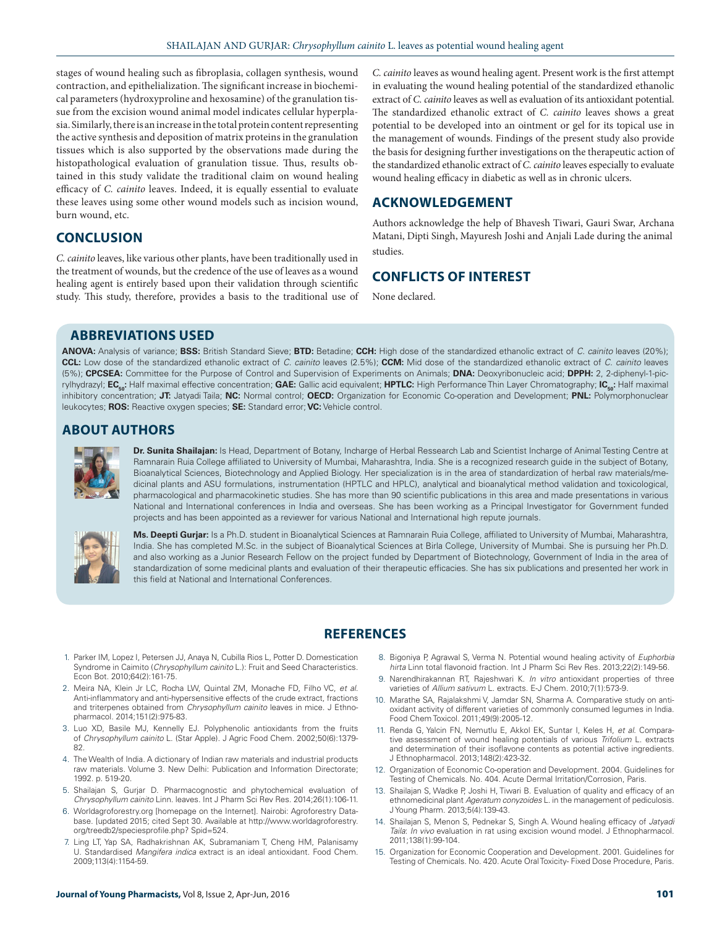stages of wound healing such as fibroplasia, collagen synthesis, wound contraction, and epithelialization. The significant increase in biochemical parameters (hydroxyproline and hexosamine) of the granulation tissue from the excision wound animal model indicates cellular hyperplasia. Similarly, there is an increase in the total protein content representing the active synthesis and deposition of matrix proteins in the granulation tissues which is also supported by the observations made during the histopathological evaluation of granulation tissue. Thus, results obtained in this study validate the traditional claim on wound healing efficacy of *C. cainito* leaves. Indeed, it is equally essential to evaluate these leaves using some other wound models such as incision wound, burn wound, etc.

# **CONCLUSION**

*C. cainito* leaves, like various other plants, have been traditionally used in the treatment of wounds, but the credence of the use of leaves as a wound healing agent is entirely based upon their validation through scientific study. This study, therefore, provides a basis to the traditional use of

*C. cainito* leaves as wound healing agent. Present work is the first attempt in evaluating the wound healing potential of the standardized ethanolic extract of *C. cainito* leaves as well as evaluation of its antioxidant potential. The standardized ethanolic extract of *C. cainito* leaves shows a great potential to be developed into an ointment or gel for its topical use in the management of wounds. Findings of the present study also provide the basis for designing further investigations on the therapeutic action of the standardized ethanolic extract of *C. cainito* leaves especially to evaluate wound healing efficacy in diabetic as well as in chronic ulcers.

# **ACKNOWLEDGEMENT**

Authors acknowledge the help of Bhavesh Tiwari, Gauri Swar, Archana Matani, Dipti Singh, Mayuresh Joshi and Anjali Lade during the animal studies.

# **CONFLICTS OF INTEREST**

None declared.

# **ABBREVIATIONS USED**

**ANOVA:** Analysis of variance; **BSS:** British Standard Sieve; **BTD:** Betadine; **CCH:** High dose of the standardized ethanolic extract of *C. cainito* leaves (20%); **CCL:** Low dose of the standardized ethanolic extract of *C. cainito* leaves (2.5%); **CCM:** Mid dose of the standardized ethanolic extract of *C. cainito* leaves (5%); **CPCSEA:** Committee for the Purpose of Control and Supervision of Experiments on Animals; **DNA:** Deoxyribonucleic acid; **DPPH:** 2, 2-diphenyl-1-picrylhydrazyl; EC<sub>so</sub>: Half maximal effective concentration; GAE: Gallic acid equivalent; HPTLC: High Performance Thin Layer Chromatography; IC<sub>so</sub>: Half maximal inhibitory concentration; **JT:** Jatyadi Taila; **NC:** Normal control; **OECD:** Organization for Economic Co-operation and Development; **PNL:** Polymorphonuclear leukocytes; **ROS:** Reactive oxygen species; **SE:** Standard error; **VC:** Vehicle control.

# **ABOUT AUTHORS**



**Dr. Sunita Shailajan:** Is Head, Department of Botany, Incharge of Herbal Ressearch Lab and Scientist Incharge of Animal Testing Centre at Ramnarain Ruia College affiliated to University of Mumbai, Maharashtra, India. She is a recognized research guide in the subject of Botany, Bioanalytical Sciences, Biotechnology and Applied Biology. Her specialization is in the area of standardization of herbal raw materials/medicinal plants and ASU formulations, instrumentation (HPTLC and HPLC), analytical and bioanalytical method validation and toxicological, pharmacological and pharmacokinetic studies. She has more than 90 scientific publications in this area and made presentations in various National and International conferences in India and overseas. She has been working as a Principal Investigator for Government funded projects and has been appointed as a reviewer for various National and International high repute journals.



**Ms. Deepti Gurjar:** Is a Ph.D. student in Bioanalytical Sciences at Ramnarain Ruia College, affiliated to University of Mumbai, Maharashtra, India. She has completed M.Sc. in the subject of Bioanalytical Sciences at Birla College, University of Mumbai. She is pursuing her Ph.D. and also working as a Junior Research Fellow on the project funded by Department of Biotechnology, Government of India in the area of standardization of some medicinal plants and evaluation of their therapeutic efficacies. She has six publications and presented her work in this field at National and International Conferences.

# **REFERENCES**

- 1. Parker IM, Lopez I, Petersen JJ, Anaya N, Cubilla Rios L, Potter D. Domestication Syndrome in Caimito (*Chrysophyllum cainito* L.): Fruit and Seed Characteristics. Econ Bot. 2010;64(2):161-75.
- 2. Meira NA, Klein Jr LC, Rocha LW, Quintal ZM, Monache FD, Filho VC, *et al*. Anti-inflammatory and anti-hypersensitive effects of the crude extract, fractions and triterpenes obtained from *Chrysophyllum cainito* leaves in mice. J Ethnopharmacol. 2014;151(2):975-83.
- 3. Luo XD, Basile MJ, Kennelly EJ. Polyphenolic antioxidants from the fruits of *Chrysophyllum cainito* L. (Star Apple). J Agric Food Chem. 2002;50(6):1379- 82.
- 4. The Wealth of India. A dictionary of Indian raw materials and industrial products raw materials. Volume 3. New Delhi: Publication and Information Directorate; 1992. p. 519-20.
- 5. Shailajan S, Gurjar D. Pharmacognostic and phytochemical evaluation *Chrysophyllum cainito* Linn. leaves. Int J Pharm Sci Rev Res. 2014;26(1):106-11.
- 6. Worldagroforestry.org [homepage on the Internet]. Nairobi: Agroforestry Database. [updated 2015; cited Sept 30. Available at http://www.worldagroforestry. org/treedb2/speciesprofile.php? Spid=524.
- 7. Ling LT, Yap SA, Radhakrishnan AK, Subramaniam T, Cheng HM, Palanisamy U. Standardised *Mangifera indica* extract is an ideal antioxidant. Food Chem. 2009;113(4):1154-59.
- 8. Bigoniya P, Agrawal S, Verma N. Potential wound healing activity of *Euphorbia hirta* Linn total flavonoid fraction. Int J Pharm Sci Rev Res. 2013;22(2):149-56.
- 9. Narendhirakannan RT, Rajeshwari K. *In vitro* antioxidant properties of three varieties of *Allium sativum* L. extracts. E-J Chem. 2010;7(1):573-9.
- 10. Marathe SA, Rajalakshmi V, Jamdar SN, Sharma A. Comparative study on antioxidant activity of different varieties of commonly consumed legumes in India. Food Chem Toxicol. 2011;49(9):2005-12.
- 11. Renda G, Yalcin FN, Nemutlu E, Akkol EK, Suntar I, Keles H, *et al*. Comparative assessment of wound healing potentials of various *Trifolium* L. extracts and determination of their isoflavone contents as potential active ingredients. J Ethnopharmacol. 2013;148(2):423-32.
- 12. Organization of Economic Co-operation and Development. 2004. Guidelines for Testing of Chemicals. No. 404. Acute Dermal Irritation/Corrosion, Paris.
- 13. Shailajan S, Wadke P, Joshi H, Tiwari B. Evaluation of quality and efficacy of an ethnomedicinal plant *Ageratum conyzoides* L. in the management of pediculosis. J Young Pharm. 2013;5(4):139-43.
- 14. Shailajan S, Menon S, Pednekar S, Singh A. Wound healing efficacy of *Jatyadi Taila*: *In vivo* evaluation in rat using excision wound model. J Ethnopharmacol. 2011;138(1):99-104.
- 15. Organization for Economic Cooperation and Development. 2001. Guidelines for Testing of Chemicals. No. 420. Acute Oral Toxicity- Fixed Dose Procedure, Paris.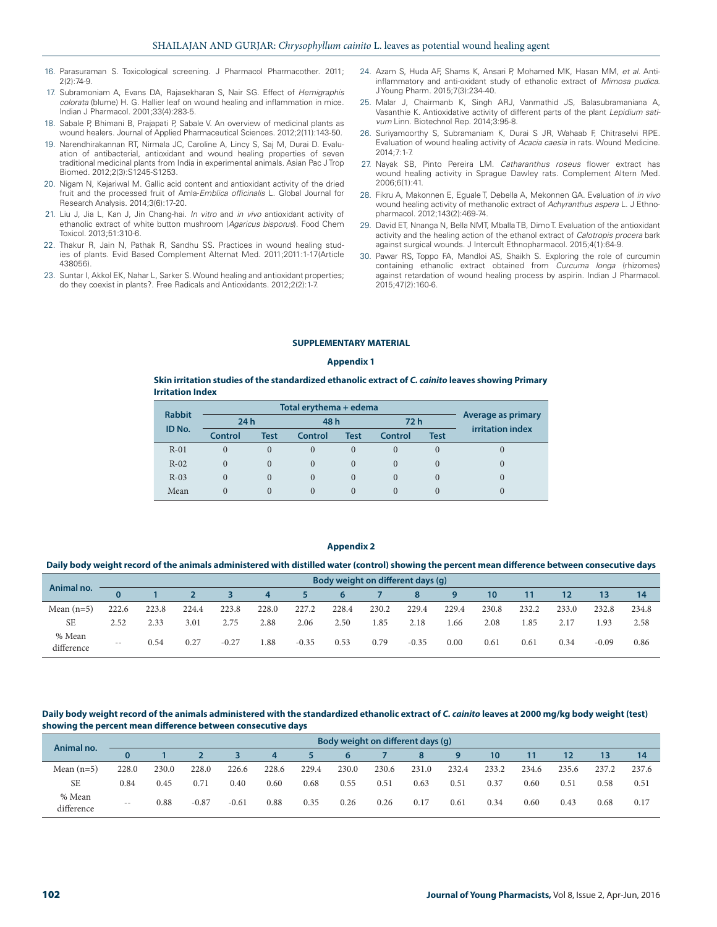- 16. Parasuraman S. Toxicological screening. J Pharmacol Pharmacother. 2011;  $2(2)$  $-74-9$
- 17. Subramoniam A, Evans DA, Rajasekharan S, Nair SG. Effect of *Hemigraphis colorata* (blume) H. G. Hallier leaf on wound healing and inflammation in mice. Indian J Pharmacol. 2001;33(4):283-5.
- 18. Sabale P, Bhimani B, Prajapati P, Sabale V. An overview of medicinal plants as wound healers. Journal of Applied Pharmaceutical Sciences. 2012;2(11):143-50.
- 19. Narendhirakannan RT, Nirmala JC, Caroline A, Lincy S, Saj M, Durai D. Evaluation of antibacterial, antioxidant and wound healing properties of seven traditional medicinal plants from India in experimental animals. Asian Pac J Trop Biomed. 2012;2(3):S1245-S1253.
- 20. Nigam N, Kejariwal M. Gallic acid content and antioxidant activity of the dried fruit and the processed fruit of Amla-*Emblica officinalis* L. Global Journal for Research Analysis. 2014;3(6):17-20.
- 21. Liu J, Jia L, Kan J, Jin Chang-hai. *In vitro* and *in vivo* antioxidant activity of ethanolic extract of white button mushroom (*Agaricus bisporus*). Food Chem Toxicol. 2013;51:310-6.
- 22. Thakur R, Jain N, Pathak R, Sandhu SS. Practices in wound healing studies of plants. Evid Based Complement Alternat Med. 2011;2011:1-17(Article 438056).
- 23. Suntar I, Akkol EK, Nahar L, Sarker S. Wound healing and antioxidant properties; do they coexist in plants?. Free Radicals and Antioxidants. 2012;2(2):1-7.
- 24. Azam S, Huda AF, Shams K, Ansari P, Mohamed MK, Hasan MM, *et al*. Antiinflammatory and anti-oxidant study of ethanolic extract of *Mimosa pudica*. J Young Pharm. 2015;7(3):234-40.
- 25. Malar J, Chairmanb K, Singh ARJ, Vanmathid JS, Balasubramaniana A, Vasanthie K. Antioxidative activity of different parts of the plant *Lepidium sativum* Linn. Biotechnol Rep. 2014;3:95-8.
- 26. Suriyamoorthy S, Subramaniam K, Durai S JR, Wahaab F, Chitraselvi RPE. Evaluation of wound healing activity of *Acacia caesia* in rats. Wound Medicine.  $2014.7.1 - 7.7$
- 27. Nayak SB, Pinto Pereira LM. *Catharanthus roseus* flower extract has wound healing activity in Sprague Dawley rats. Complement Altern Med. 2006;6(1):41.
- 28. Fikru A, Makonnen E, Eguale T, Debella A, Mekonnen GA. Evaluation of *in vivo*  wound healing activity of methanolic extract of *Achyranthus aspera* L. J Ethnopharmacol. 2012;143(2):469-74.
- 29. David ET, Nnanga N, Bella NMT, Mballa TB, Dimo T. Evaluation of the antioxidant activity and the healing action of the ethanol extract of *Calotropis procera* bark against surgical wounds. J Intercult Ethnopharmacol. 2015;4(1):64-9.
- 30. Pawar RS, Toppo FA, Mandloi AS, Shaikh S. Exploring the role of curcumin containing ethanolic extract obtained from *Curcuma longa* (rhizomes) against retardation of wound healing process by aspirin. Indian J Pharmacol. 2015;47(2):160-6.

#### **SUPPLEMENTARY MATERIAL**

#### **Appendix 1**

#### **Skin irritation studies of the standardized ethanolic extract of** *C. cainito* **leaves showing Primary Irritation Index**

| <b>Rabbit</b> |                | Total erythema + edema |          |             |          |             |                                               |  |  |  |  |  |
|---------------|----------------|------------------------|----------|-------------|----------|-------------|-----------------------------------------------|--|--|--|--|--|
| ID No.        | 24h            |                        | 48 h     |             | 72 h     |             | Average as primary<br><b>irritation index</b> |  |  |  |  |  |
|               | <b>Control</b> | Test                   | Control  | <b>Test</b> | Control  | <b>Test</b> |                                               |  |  |  |  |  |
| $R-01$        |                |                        |          | 0           |          | $\Omega$    |                                               |  |  |  |  |  |
| $R-02$        |                |                        | $\Omega$ | $\theta$    | $\Omega$ | $\theta$    |                                               |  |  |  |  |  |
| $R-03$        |                |                        | $\theta$ | $\Omega$    |          | $\left($    |                                               |  |  |  |  |  |
| Mean          |                |                        |          |             |          |             |                                               |  |  |  |  |  |

#### **Appendix 2**

#### **Daily body weight record of the animals administered with distilled water (control) showing the percent mean difference between consecutive days**

| Animal no.           |       | Body weight on different days (q) |       |         |       |         |       |       |         |       |       |       |       |         |       |
|----------------------|-------|-----------------------------------|-------|---------|-------|---------|-------|-------|---------|-------|-------|-------|-------|---------|-------|
|                      |       |                                   |       |         | 4     |         |       |       |         |       | 10    |       |       | 13      | 14    |
| Mean $(n=5)$         | 222.6 | 223.8                             | 224.4 | 223.8   | 228.0 | 227.2   | 228.4 | 230.2 | 229.4   | 229.4 | 230.8 | 232.2 | 233.0 | 232.8   | 234.8 |
| <b>SE</b>            | 2.52  | 2.33                              | 3.01  | 2.75    | 2.88  | 2.06    | 2.50  | 1.85  | 2.18    | .66   | 2.08  | 1.85  | 2.17  | 1.93    | 2.58  |
| % Mean<br>difference | $- -$ | 0.54                              | 0.27  | $-0.27$ | 1.88  | $-0.35$ | 0.53  | 0.79  | $-0.35$ | 0.00  | 0.61  | 0.61  | 0.34  | $-0.09$ | 0.86  |

Daily body weight record of the animals administered with the standardized ethanolic extract of *C. cainito* leaves at 2000 mg/kg body weight (test) **showing the percent mean difference between consecutive days**

| Animal no.           |       | Body weight on different days (q) |         |         |       |       |       |       |       |       |       |       |       |       |       |
|----------------------|-------|-----------------------------------|---------|---------|-------|-------|-------|-------|-------|-------|-------|-------|-------|-------|-------|
|                      | 0     |                                   |         |         | 4     |       | 6     |       |       | 9     | 10    |       |       | 13    | 14    |
| Mean $(n=5)$         | 228.0 | 230.0                             | 228.0   | 226.6   | 228.6 | 229.4 | 230.0 | 230.6 | 231.0 | 232.4 | 233.2 | 234.6 | 235.6 | 237.2 | 237.6 |
| <b>SE</b>            | 0.84  | 0.45                              | 0.71    | 0.40    | 0.60  | 0.68  | 0.55  | 0.51  | 0.63  | 0.51  | 0.37  | 0.60  | 0.51  | 0.58  | 0.51  |
| % Mean<br>difference | $- -$ | 0.88                              | $-0.87$ | $-0.61$ | 0.88  | 0.35  | 0.26  | 0.26  | 0.17  | 0.61  | 0.34  | 0.60  | 0.43  | 0.68  | 0.17  |